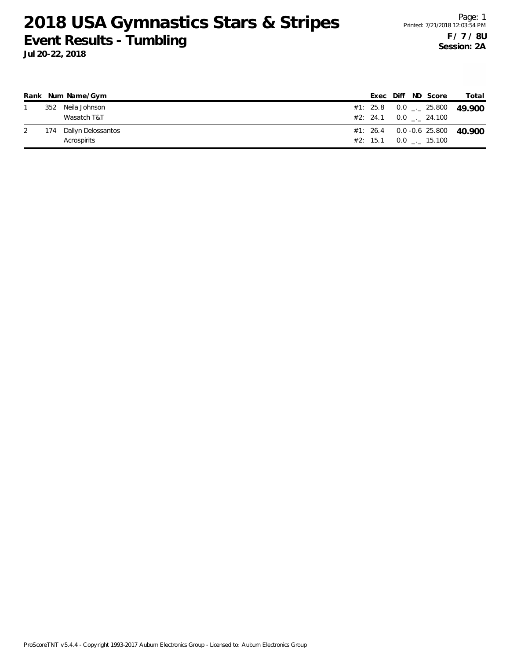|     | Rank Num Name/Gym      |  |  | Exec Diff ND Score            | Total                             |
|-----|------------------------|--|--|-------------------------------|-----------------------------------|
| 352 | Neila Johnson          |  |  |                               | #1: 25.8 0.0 $\leq$ 25.800 49 900 |
|     | Wasatch T&T            |  |  | $#2: 24.1 \t 0.0 \t . 24.100$ |                                   |
|     | 174 Dallyn Delossantos |  |  |                               | $#1: 26.4$ 0.0 -0.6 25.800 40.900 |
|     | Acrospirits            |  |  | $#2: 15.1 \t 0.0 \t . 15.100$ |                                   |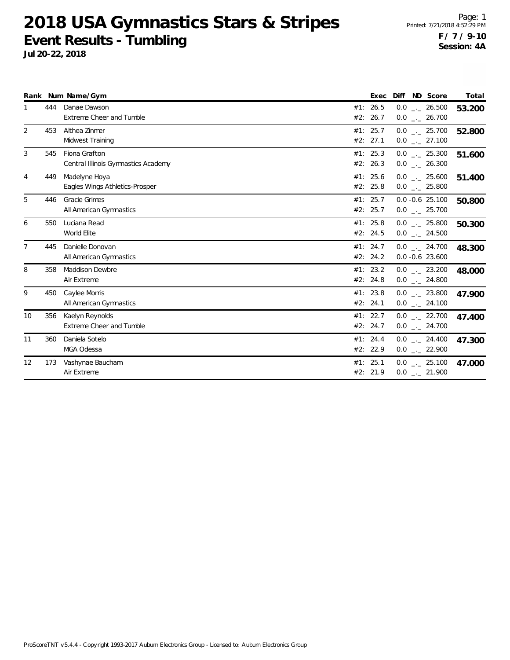**Jul 20-22, 2018**

Page: 1 Printed: 7/21/2018 4:52:29 PM **F / 7 / 9-10 Session: 4A**

|                |     | Rank Num Name/Gym                                    | Exec                   | Diff ND Score                                | Total  |
|----------------|-----|------------------------------------------------------|------------------------|----------------------------------------------|--------|
|                | 444 | Danae Dawson<br>Extreme Cheer and Tumble             | #1: 26.5<br>#2: 26.7   | $0.0$ _._ 26.500<br>$0.0$ _ 26.700           | 53.200 |
| 2              | 453 | Althea Zinmer<br>Midwest Training                    | #1: 25.7<br>#2: 27.1   | $0.0$ $_{-}$ 25.700<br>$0.0$ _ 27.100        | 52.800 |
| 3              | 545 | Fiona Grafton<br>Central Illinois Gymnastics Academy | #1: 25.3<br>#2: 26.3   | $0.0$ _._ 25.300<br>$0.0$ _ 26.300           | 51.600 |
| 4              | 449 | Madelyne Hoya<br>Eagles Wings Athletics-Prosper      | #1: 25.6<br>#2: 25.8   | $0.0$ _ 25.600<br>$0.0$ _ 25.800             | 51.400 |
| 5              | 446 | Gracie Grimes<br>All American Gymnastics             | #1: 25.7<br>#2: 25.7   | $0.0 -0.6$ 25.100<br>$0.0$ _ 25.700          | 50.800 |
| 6              | 550 | Luciana Read<br>World Elite                          | #1: $25.8$<br>#2: 24.5 | $0.0$ _._ 25.800<br>$0.0$ _ 24.500           | 50.300 |
| $\overline{7}$ | 445 | Danielle Donovan<br>All American Gymnastics          | #1: 24.7<br>#2: 24.2   | $0.0$ $_{\sim}$ 24.700<br>$0.0 - 0.6$ 23.600 | 48.300 |
| 8              | 358 | <b>Maddison Dewbre</b><br>Air Extreme                | #1: 23.2<br>#2: 24.8   | $0.0$ _._ 23.200<br>$0.0$ _ 24.800           | 48.000 |
| 9              | 450 | Caylee Morris<br>All American Gymnastics             | #1: 23.8<br>#2: 24.1   | $0.0$ __ 23.800<br>$0.0$ _ 24.100            | 47.900 |
| 10             | 356 | Kaelyn Reynolds<br>Extreme Cheer and Tumble          | #1: 22.7<br>#2: 24.7   | $0.0$ $_{-}$ 22.700<br>$0.0$ _ 24.700        | 47.400 |
| 11             | 360 | Daniela Sotelo<br>MGA Odessa                         | #1: 24.4<br>#2: 22.9   | $0.0$ $_{-}$ 24.400<br>$0.0$ _ 22.900        | 47.300 |
| 12             | 173 | Vashynae Baucham<br>Air Extreme                      | #1: 25.1<br>#2: 21.9   | $0.0$ _ 25.100<br>$0.0$ _ 21.900             | 47.000 |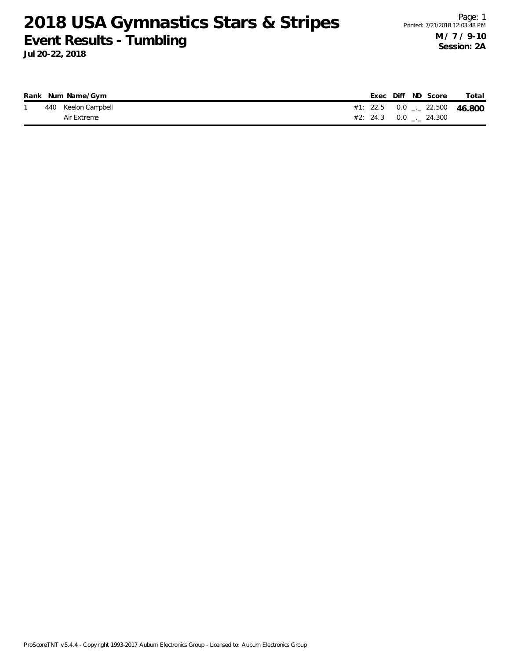|  | Rank Num Name/Gym   |  |  | Exec Diff ND Score       | Total                            |
|--|---------------------|--|--|--------------------------|----------------------------------|
|  | 440 Keelon Campbell |  |  |                          | #1: 22.5  0.0 $-$ 22.500  46.800 |
|  | Air Extreme         |  |  | $#2: 24.3 0.0$ $-24.300$ |                                  |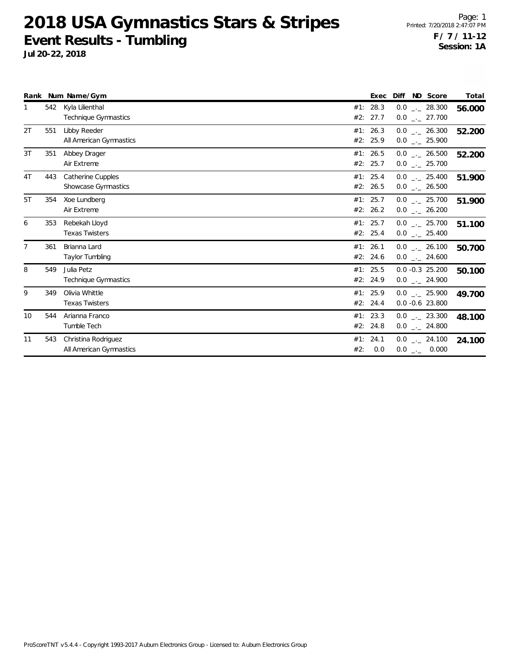|    |     | Rank Num Name/Gym                               |     | Exec                   | Diff ND Score                          | Total  |
|----|-----|-------------------------------------------------|-----|------------------------|----------------------------------------|--------|
| 1  | 542 | Kyla Lilienthal<br>Technique Gymnastics         |     | #1: 28.3<br>#2: 27.7   | $0.0$ _._ 28.300<br>$0.0$ _ 27.700     | 56.000 |
| 2T | 551 | Libby Reeder<br>All American Gymnastics         |     | #1: 26.3<br>#2: 25.9   | $0.0$ _._ 26.300<br>$0.0$ _ 25.900     | 52.200 |
| 3T | 351 | Abbey Drager<br>Air Extreme                     |     | #1: $26.5$<br>#2: 25.7 | $0.0$ _._ 26.500<br>$0.0$ _ 25.700     | 52.200 |
| 4T | 443 | <b>Catherine Cupples</b><br>Showcase Gymnastics |     | #1: 25.4<br>#2: 26.5   | $0.0$ _._ 25.400<br>$0.0$ _._ 26.500   | 51.900 |
| 5T | 354 | Xoe Lundberg<br>Air Extreme                     |     | #1: 25.7<br>#2: 26.2   | $0.0$ . 25.700<br>$0.0$ _ 26.200       | 51.900 |
| 6  | 353 | Rebekah Lloyd<br><b>Texas Twisters</b>          |     | #1: 25.7<br>#2: 25.4   | $0.0$ _ 25.700<br>$0.0$ _ 25.400       | 51.100 |
| 7  | 361 | Brianna Lard<br>Taylor Tumbling                 |     | #1: 26.1<br>#2: 24.6   | $0.0$ _._ 26.100<br>$0.0$ _ 24.600     | 50.700 |
| 8  | 549 | Julia Petz<br>Technique Gymnastics              |     | #1: 25.5<br>#2: 24.9   | $0.0 - 0.3$ 25.200<br>$0.0$ _._ 24.900 | 50.100 |
| 9  | 349 | Olivia Whittle<br><b>Texas Twisters</b>         |     | #1: 25.9<br>#2: 24.4   | $0.0$ _._ 25.900<br>$0.0 - 0.6$ 23.800 | 49.700 |
| 10 | 544 | Arianna Franco<br>Tumble Tech                   |     | #1: 23.3<br>#2: 24.8   | $0.0$ _._ 23.300<br>$0.0$ _ 24.800     | 48.100 |
| 11 | 543 | Christina Rodriguez<br>All American Gymnastics  | #2: | #1: 24.1<br>0.0        | $0.0$ _ 24.100<br>$0.0$ _ 0.000        | 24.100 |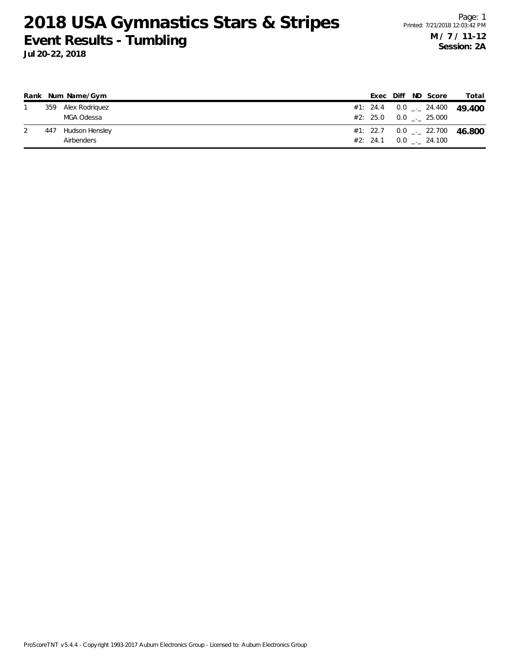|     | Rank Num Name/Gym  |  |  | Exec Diff ND Score            | Total                                    |
|-----|--------------------|--|--|-------------------------------|------------------------------------------|
|     | 359 Alex Rodriguez |  |  |                               | #1: 24.4 0.0 $-$ 24.400 49 400           |
|     | MGA Odessa         |  |  | #2: 25.0 0.0 0.25.000         |                                          |
| 447 | Hudson Hensley     |  |  |                               | #1: 22.7 0.0 $\frac{1}{2}$ 22.700 46.800 |
|     | Airbenders         |  |  | $#2: 24.1 \t 0.0 \t . 24.100$ |                                          |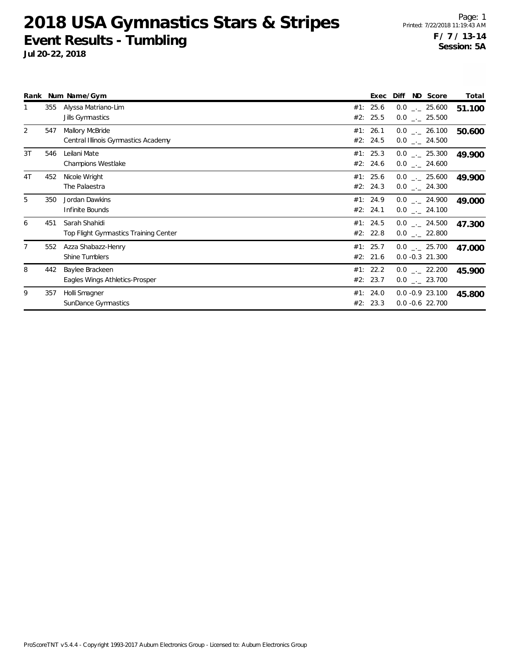|    |     | Rank Num Name/Gym                                      | Exec                 | Diff | ND Score                                       | Total  |
|----|-----|--------------------------------------------------------|----------------------|------|------------------------------------------------|--------|
|    | 355 | Alyssa Matriano-Lim<br>Jills Gymnastics                | #1: 25.6<br>#2: 25.5 |      | $0.0$ _._ 25.600<br>$0.0$ _ 25.500             | 51.100 |
| 2  | 547 | Mallory McBride<br>Central Illinois Gymnastics Academy | #1: 26.1<br>#2: 24.5 |      | $0.0$ _ 26.100<br>$0.0$ $_{-}$ 24.500          | 50.600 |
| 3T | 546 | Leilani Mate<br><b>Champions Westlake</b>              | #1: 25.3<br>#2: 24.6 |      | $0.0$ . 25.300<br>$0.0$ _._ 24.600             | 49.900 |
| 4T | 452 | Nicole Wright<br>The Palaestra                         | #1: 25.6<br>#2: 24.3 |      | $0.0$ _._ 25.600<br>$0.0$ _ 24.300             | 49.900 |
| 5  | 350 | Jordan Dawkins<br>Infinite Bounds                      | #1: 24.9<br>#2: 24.1 |      | $0.0$ _._ 24.900<br>$0.0$ _ 24.100             | 49.000 |
| 6  | 451 | Sarah Shahidi<br>Top Flight Gymnastics Training Center | #1: 24.5<br>#2: 22.8 |      | $0.0$ _._ 24.500<br>$0.0$ _._ 22.800           | 47.300 |
|    | 552 | Azza Shabazz-Henry<br>Shine Tumblers                   | #1: 25.7<br>#2: 21.6 |      | $0.0$ $_{-}$ 25.700<br>$0.0 -0.3$ 21.300       | 47.000 |
| 8  | 442 | Baylee Brackeen<br>Eagles Wings Athletics-Prosper      | #1: 22.2<br>#2: 23.7 |      | $0.0$ $_{\leftarrow}$ 22.200<br>$0.0$ _ 23.700 | 45.900 |
| 9  | 357 | Holli Smagner<br>SunDance Gymnastics                   | #1: 24.0<br>#2: 23.3 |      | $0.0 -0.9$ 23.100<br>$0.0 - 0.6$ 22.700        | 45.800 |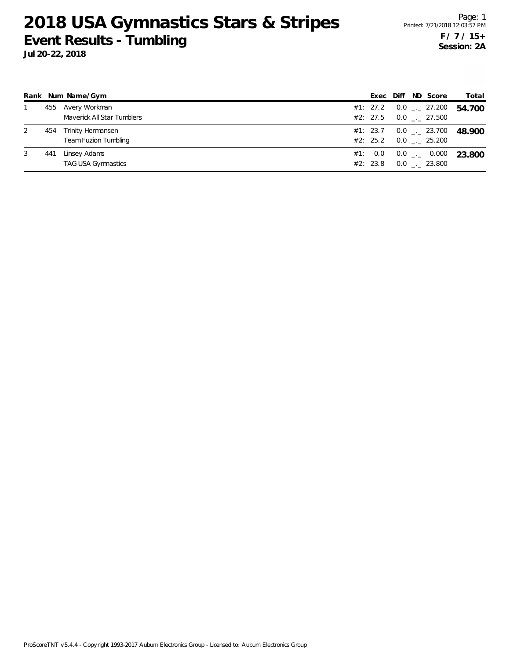|   |     | Rank Num Name/Gym                                |     |                 |  | Exec Diff ND Score                                            | Total                          |
|---|-----|--------------------------------------------------|-----|-----------------|--|---------------------------------------------------------------|--------------------------------|
|   |     | 455 Avery Workman<br>Maverick All Star Tumblers  |     |                 |  | #1: 27.2 $0.0$ $_{-}$ 27.200<br>#2: 27.5 $0.0$ $_{-.}$ 27.500 | 54.700                         |
| 2 | 454 | Trinity Hermansen<br><b>Team Fuzion Tumbling</b> |     |                 |  | $#2: 25.2 \t 0.0 \t . 25.200$                                 | #1: 23.7 0.0 $-$ 23.700 48.900 |
| 3 | 441 | Linsey Adams<br><b>TAG USA Gymnastics</b>        | #1: | 0.0<br>#2: 23.8 |  | $0.0$ _._ 0.000<br>$0.0$ _._ 23.800                           | 23.800                         |